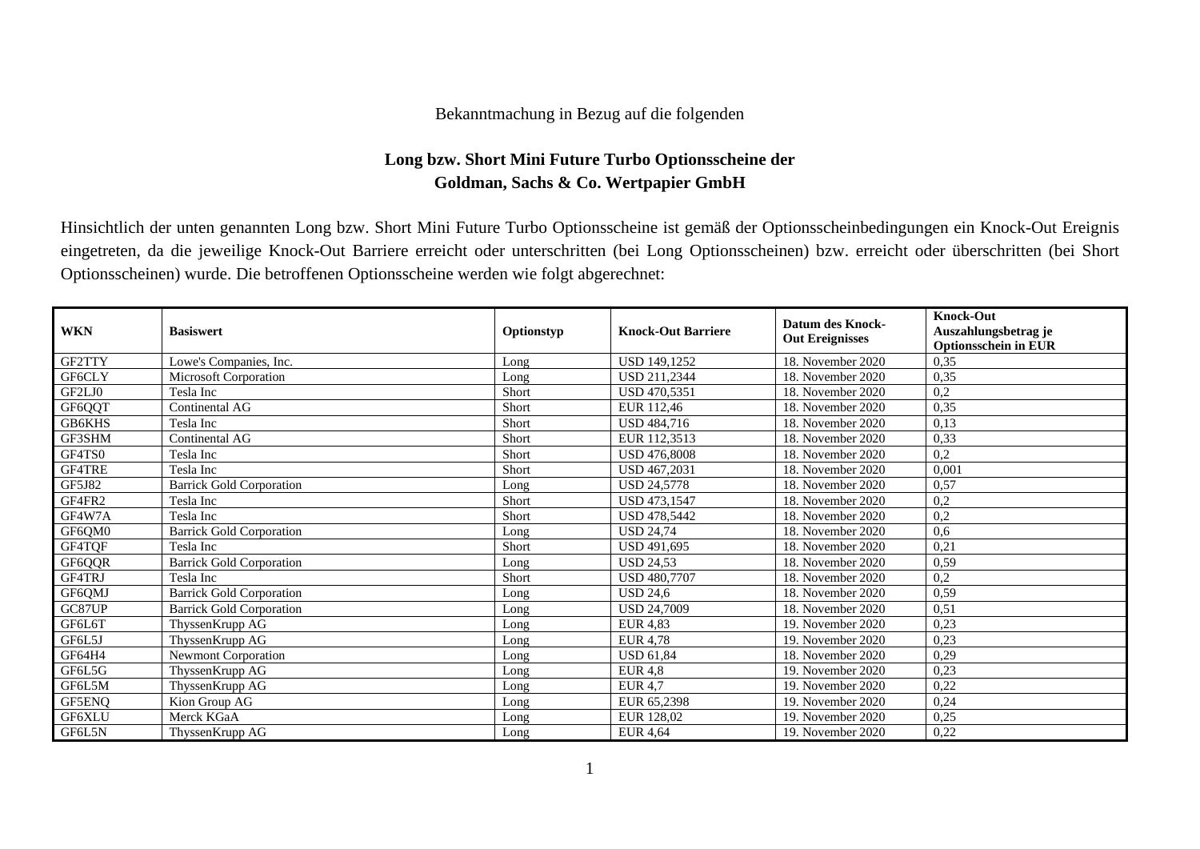## Bekanntmachung in Bezug auf die folgenden

## **Long bzw. Short Mini Future Turbo Optionsscheine der Goldman, Sachs & Co. Wertpapier GmbH**

Hinsichtlich der unten genannten Long bzw. Short Mini Future Turbo Optionsscheine ist gemäß der Optionsscheinbedingungen ein Knock-Out Ereignis eingetreten, da die jeweilige Knock-Out Barriere erreicht oder unterschritten (bei Long Optionsscheinen) bzw. erreicht oder überschritten (bei Short Optionsscheinen) wurde. Die betroffenen Optionsscheine werden wie folgt abgerechnet:

| <b>WKN</b> | <b>Basiswert</b>                | Optionstyp | <b>Knock-Out Barriere</b> | <b>Datum des Knock-</b><br><b>Out Ereignisses</b> | <b>Knock-Out</b><br>Auszahlungsbetrag je |
|------------|---------------------------------|------------|---------------------------|---------------------------------------------------|------------------------------------------|
| GF2TTY     | Lowe's Companies, Inc.          | Long       | <b>USD 149.1252</b>       | 18. November 2020                                 | <b>Optionsschein in EUR</b><br>0,35      |
| GF6CLY     | <b>Microsoft Corporation</b>    | Long       | USD 211,2344              | 18. November 2020                                 | 0,35                                     |
| GF2LJ0     | Tesla Inc                       | Short      | USD 470,5351              | 18. November 2020                                 | 0,2                                      |
| GF6QQT     | Continental AG                  | Short      | EUR 112,46                | 18. November 2020                                 | 0,35                                     |
| GB6KHS     | Tesla Inc                       | Short      | USD 484,716               | 18. November 2020                                 | 0,13                                     |
| GF3SHM     | <b>Continental AG</b>           | Short      | EUR 112,3513              | 18. November 2020                                 | 0,33                                     |
| GF4TS0     | Tesla Inc                       | Short      | <b>USD 476,8008</b>       | 18. November 2020                                 | 0,2                                      |
| GF4TRE     | Tesla Inc                       | Short      | USD 467,2031              | 18. November 2020                                 | 0,001                                    |
| GF5J82     | <b>Barrick Gold Corporation</b> |            | <b>USD 24.5778</b>        | 18. November 2020                                 | 0.57                                     |
|            |                                 | Long       |                           |                                                   |                                          |
| GF4FR2     | Tesla Inc                       | Short      | <b>USD 473.1547</b>       | 18. November 2020                                 | 0,2                                      |
| GF4W7A     | Tesla Inc                       | Short      | USD 478,5442              | 18. November 2020                                 | 0,2                                      |
| GF6QM0     | <b>Barrick Gold Corporation</b> | Long       | <b>USD 24,74</b>          | 18. November 2020                                 | 0,6                                      |
| GF4TQF     | Tesla Inc                       | Short      | USD 491,695               | 18. November 2020                                 | 0,21                                     |
| GF6QQR     | <b>Barrick Gold Corporation</b> | Long       | <b>USD 24,53</b>          | 18. November 2020                                 | 0,59                                     |
| GF4TRJ     | Tesla Inc                       | Short      | <b>USD 480.7707</b>       | 18. November 2020                                 | 0,2                                      |
| GF6QMJ     | <b>Barrick Gold Corporation</b> | Long       | <b>USD 24,6</b>           | 18. November 2020                                 | 0,59                                     |
| GC87UP     | <b>Barrick Gold Corporation</b> | Long       | <b>USD 24,7009</b>        | 18. November 2020                                 | 0,51                                     |
| GF6L6T     | ThyssenKrupp AG                 | Long       | <b>EUR 4,83</b>           | 19. November 2020                                 | 0,23                                     |
| GF6L5J     | ThyssenKrupp AG                 | Long       | <b>EUR 4,78</b>           | 19. November 2020                                 | 0,23                                     |
| GF64H4     | <b>Newmont Corporation</b>      | Long       | <b>USD 61,84</b>          | 18. November 2020                                 | 0,29                                     |
| GF6L5G     | ThyssenKrupp AG                 | Long       | <b>EUR 4,8</b>            | 19. November 2020                                 | 0,23                                     |
| GF6L5M     | ThyssenKrupp AG                 | Long       | <b>EUR 4,7</b>            | 19. November 2020                                 | 0,22                                     |
| GF5ENQ     | Kion Group AG                   | Long       | EUR 65,2398               | 19. November 2020                                 | 0,24                                     |
| GF6XLU     | Merck KGaA                      | Long       | EUR 128,02                | 19. November 2020                                 | 0,25                                     |
| GF6L5N     | ThyssenKrupp AG                 | Long       | <b>EUR 4,64</b>           | 19. November 2020                                 | 0,22                                     |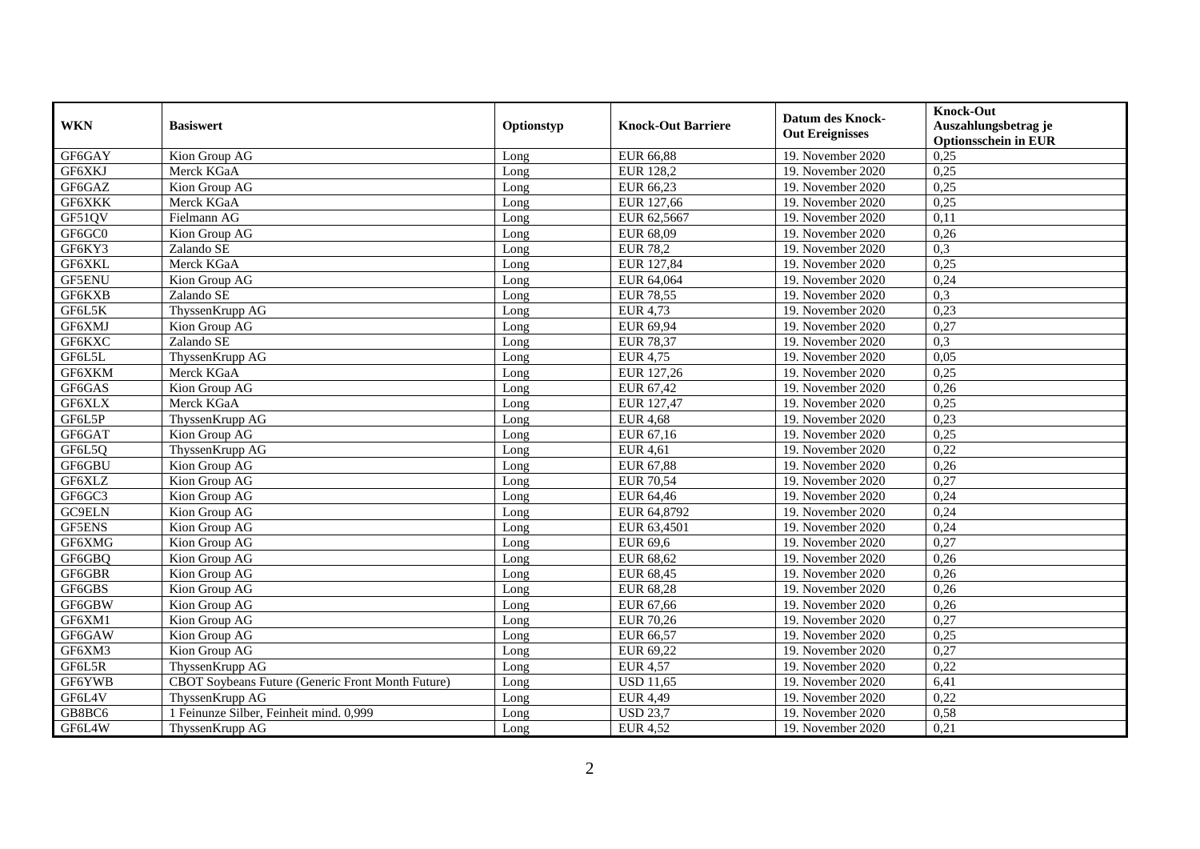| <b>WKN</b>    | <b>Basiswert</b>                                  | Optionstyp | <b>Knock-Out Barriere</b> | <b>Datum des Knock-</b><br><b>Out Ereignisses</b> | <b>Knock-Out</b><br>Auszahlungsbetrag je<br><b>Optionsschein in EUR</b> |
|---------------|---------------------------------------------------|------------|---------------------------|---------------------------------------------------|-------------------------------------------------------------------------|
| GF6GAY        | Kion Group AG                                     | Long       | <b>EUR 66,88</b>          | 19. November 2020                                 | 0,25                                                                    |
| GF6XKJ        | Merck KGaA                                        | Long       | EUR 128,2                 | 19. November 2020                                 | 0,25                                                                    |
| GF6GAZ        | Kion Group AG                                     | Long       | EUR 66,23                 | 19. November 2020                                 | 0,25                                                                    |
| GF6XKK        | Merck KGaA                                        | Long       | EUR 127,66                | 19. November 2020                                 | 0,25                                                                    |
| GF51QV        | Fielmann AG                                       | Long       | EUR 62,5667               | 19. November 2020                                 | 0,11                                                                    |
| GF6GC0        | Kion Group AG                                     | Long       | EUR 68,09                 | 19. November 2020                                 | 0,26                                                                    |
| GF6KY3        | Zalando SE                                        | Long       | <b>EUR 78,2</b>           | 19. November 2020                                 | 0,3                                                                     |
| GF6XKL        | Merck KGaA                                        | Long       | EUR 127,84                | 19. November 2020                                 | 0,25                                                                    |
| <b>GF5ENU</b> | Kion Group AG                                     | Long       | EUR 64,064                | 19. November 2020                                 | 0,24                                                                    |
| GF6KXB        | Zalando SE                                        | Long       | <b>EUR 78,55</b>          | 19. November 2020                                 | 0,3                                                                     |
| GF6L5K        | ThyssenKrupp AG                                   | Long       | <b>EUR 4,73</b>           | 19. November 2020                                 | 0,23                                                                    |
| GF6XMJ        | $\overline{\text{K}}$ ion Group AG                | Long       | EUR 69,94                 | 19. November 2020                                 | 0,27                                                                    |
| GF6KXC        | Zalando SE                                        | Long       | <b>EUR 78,37</b>          | 19. November 2020                                 | 0,3                                                                     |
| GF6L5L        | ThyssenKrupp AG                                   | Long       | <b>EUR 4,75</b>           | 19. November 2020                                 | 0,05                                                                    |
| GF6XKM        | Merck KGaA                                        | Long       | EUR 127,26                | 19. November 2020                                 | 0,25                                                                    |
| GF6GAS        | Kion Group AG                                     | Long       | EUR 67,42                 | 19. November 2020                                 | 0,26                                                                    |
| GF6XLX        | Merck KGaA                                        | Long       | EUR 127,47                | 19. November 2020                                 | 0,25                                                                    |
| GF6L5P        | ThyssenKrupp AG                                   | Long       | <b>EUR 4,68</b>           | 19. November 2020                                 | 0,23                                                                    |
| GF6GAT        | Kion Group AG                                     | Long       | EUR 67,16                 | 19. November 2020                                 | 0,25                                                                    |
| GF6L5Q        | ThyssenKrupp AG                                   | Long       | <b>EUR 4,61</b>           | 19. November 2020                                 | 0,22                                                                    |
| GF6GBU        | Kion Group AG                                     | Long       | EUR 67,88                 | 19. November 2020                                 | 0,26                                                                    |
| GF6XLZ        | Kion Group AG                                     | Long       | <b>EUR 70,54</b>          | 19. November 2020                                 | 0,27                                                                    |
| GF6GC3        | Kion Group AG                                     | Long       | EUR 64,46                 | 19. November 2020                                 | 0,24                                                                    |
| GC9ELN        | Kion Group AG                                     | Long       | EUR 64,8792               | 19. November 2020                                 | 0,24                                                                    |
| <b>GF5ENS</b> | Kion Group AG                                     | Long       | EUR 63,4501               | 19. November 2020                                 | 0,24                                                                    |
| GF6XMG        | Kion Group AG                                     | Long       | <b>EUR 69,6</b>           | 19. November 2020                                 | 0,27                                                                    |
| GF6GBQ        | Kion Group AG                                     | Long       | EUR 68,62                 | 19. November 2020                                 | 0,26                                                                    |
| GF6GBR        | Kion Group AG                                     | Long       | <b>EUR 68,45</b>          | 19. November 2020                                 | 0,26                                                                    |
| GF6GBS        | Kion Group AG                                     | Long       | <b>EUR 68,28</b>          | 19. November 2020                                 | 0,26                                                                    |
| GF6GBW        | Kion Group AG                                     | Long       | EUR 67,66                 | 19. November 2020                                 | 0,26                                                                    |
| GF6XM1        | Kion Group AG                                     | Long       | <b>EUR 70,26</b>          | 19. November 2020                                 | 0,27                                                                    |
| GF6GAW        | Kion Group AG                                     | Long       | EUR 66,57                 | 19. November 2020                                 | 0,25                                                                    |
| GF6XM3        | Kion Group AG                                     | Long       | EUR 69,22                 | 19. November 2020                                 | 0,27                                                                    |
| GF6L5R        | ThyssenKrupp AG                                   | Long       | <b>EUR 4,57</b>           | 19. November 2020                                 | 0,22                                                                    |
| GF6YWB        | CBOT Soybeans Future (Generic Front Month Future) | Long       | <b>USD 11,65</b>          | 19. November 2020                                 | 6,41                                                                    |
| GF6L4V        | ThyssenKrupp AG                                   | Long       | <b>EUR 4,49</b>           | 19. November 2020                                 | 0,22                                                                    |
| GB8BC6        | 1 Feinunze Silber, Feinheit mind. 0,999           | Long       | <b>USD 23,7</b>           | 19. November 2020                                 | 0,58                                                                    |
| GF6L4W        | ThyssenKrupp AG                                   | Long       | <b>EUR 4,52</b>           | 19. November 2020                                 | 0,21                                                                    |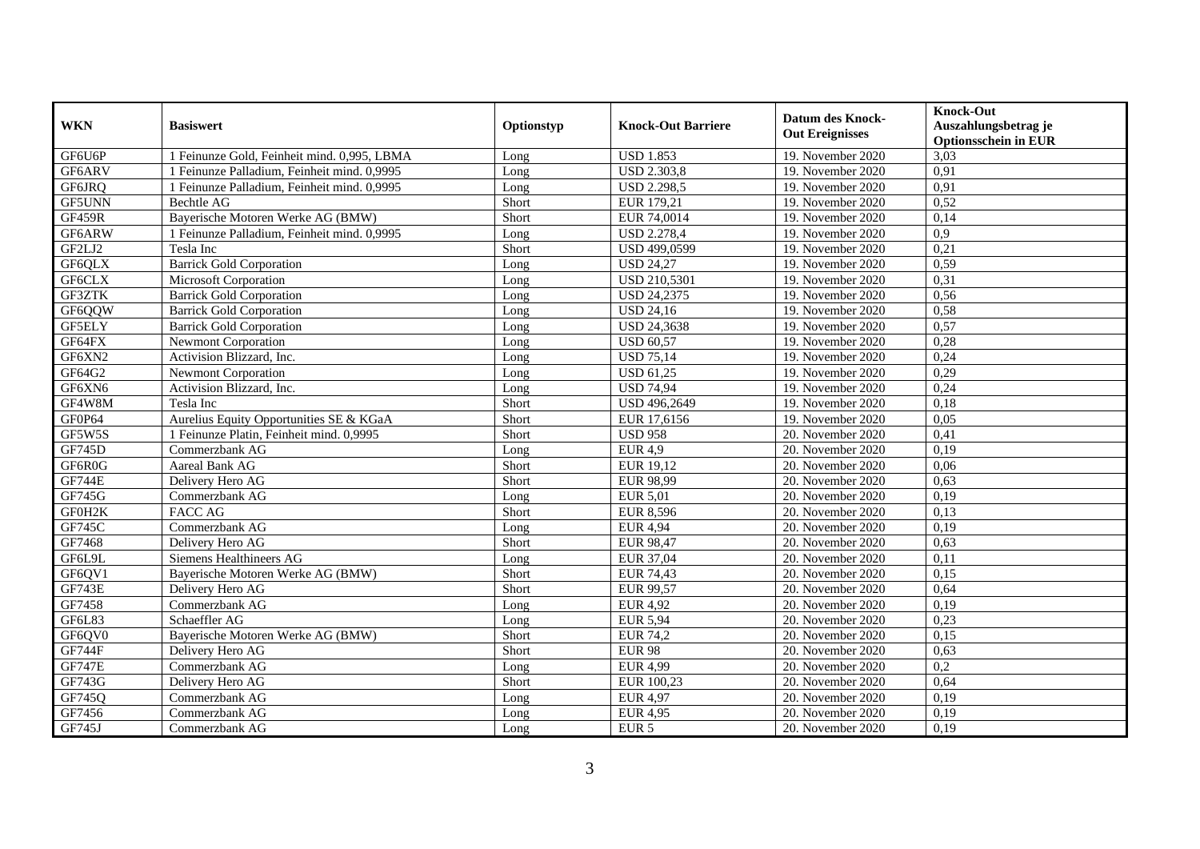| <b>WKN</b>    | <b>Basiswert</b>                            | Optionstyp | <b>Knock-Out Barriere</b> | Datum des Knock-<br><b>Out Ereignisses</b> | <b>Knock-Out</b><br>Auszahlungsbetrag je<br><b>Optionsschein in EUR</b> |
|---------------|---------------------------------------------|------------|---------------------------|--------------------------------------------|-------------------------------------------------------------------------|
| GF6U6P        | 1 Feinunze Gold, Feinheit mind. 0,995, LBMA | Long       | <b>USD 1.853</b>          | 19. November 2020                          | 3,03                                                                    |
| GF6ARV        | 1 Feinunze Palladium, Feinheit mind. 0,9995 | Long       | <b>USD 2.303,8</b>        | 19. November 2020                          | 0,91                                                                    |
| GF6JRQ        | 1 Feinunze Palladium, Feinheit mind. 0,9995 | Long       | <b>USD 2.298,5</b>        | 19. November 2020                          | 0,91                                                                    |
| GF5UNN        | Bechtle AG                                  | Short      | EUR 179,21                | 19. November 2020                          | 0,52                                                                    |
| GF459R        | Bayerische Motoren Werke AG (BMW)           | Short      | EUR 74,0014               | 19. November 2020                          | 0,14                                                                    |
| GF6ARW        | 1 Feinunze Palladium, Feinheit mind. 0,9995 | Long       | <b>USD 2.278,4</b>        | 19. November 2020                          | 0,9                                                                     |
| GF2LJ2        | Tesla Inc                                   | Short      | USD 499,0599              | 19. November 2020                          | 0,21                                                                    |
| GF6QLX        | <b>Barrick Gold Corporation</b>             | Long       | <b>USD 24,27</b>          | 19. November 2020                          | 0,59                                                                    |
| GF6CLX        | Microsoft Corporation                       | Long       | <b>USD 210,5301</b>       | 19. November 2020                          | 0,31                                                                    |
| GF3ZTK        | <b>Barrick Gold Corporation</b>             | Long       | <b>USD 24,2375</b>        | 19. November 2020                          | 0,56                                                                    |
| GF6QQW        | <b>Barrick Gold Corporation</b>             | Long       | <b>USD 24,16</b>          | 19. November 2020                          | 0,58                                                                    |
| <b>GF5ELY</b> | <b>Barrick Gold Corporation</b>             | Long       | <b>USD 24,3638</b>        | 19. November 2020                          | 0,57                                                                    |
| GF64FX        | <b>Newmont Corporation</b>                  | Long       | <b>USD 60,57</b>          | 19. November 2020                          | 0,28                                                                    |
| GF6XN2        | Activision Blizzard, Inc.                   | Long       | <b>USD 75,14</b>          | 19. November 2020                          | 0,24                                                                    |
| GF64G2        | Newmont Corporation                         | Long       | <b>USD 61,25</b>          | 19. November 2020                          | 0,29                                                                    |
| GF6XN6        | Activision Blizzard, Inc.                   | Long       | <b>USD 74,94</b>          | 19. November 2020                          | 0,24                                                                    |
| GF4W8M        | Tesla Inc                                   | Short      | USD 496,2649              | 19. November 2020                          | 0,18                                                                    |
| GF0P64        | Aurelius Equity Opportunities SE & KGaA     | Short      | EUR 17.6156               | 19. November 2020                          | 0.05                                                                    |
| GF5W5S        | 1 Feinunze Platin, Feinheit mind. 0,9995    | Short      | <b>USD 958</b>            | 20. November 2020                          | 0,41                                                                    |
| GF745D        | Commerzbank AG                              | Long       | <b>EUR 4,9</b>            | 20. November 2020                          | 0,19                                                                    |
| GF6R0G        | Aareal Bank AG                              | Short      | EUR 19,12                 | 20. November 2020                          | 0,06                                                                    |
| <b>GF744E</b> | Delivery Hero AG                            | Short      | EUR 98,99                 | 20. November 2020                          | 0,63                                                                    |
| GF745G        | Commerzbank AG                              | Long       | <b>EUR 5,01</b>           | 20. November 2020                          | 0,19                                                                    |
| GF0H2K        | <b>FACC AG</b>                              | Short      | <b>EUR 8,596</b>          | 20. November 2020                          | 0,13                                                                    |
| GF745C        | Commerzbank AG                              | Long       | <b>EUR 4,94</b>           | 20. November 2020                          | 0,19                                                                    |
| GF7468        | Delivery Hero AG                            | Short      | <b>EUR 98,47</b>          | 20. November 2020                          | 0,63                                                                    |
| GF6L9L        | Siemens Healthineers AG                     | Long       | EUR 37,04                 | 20. November 2020                          | 0,11                                                                    |
| GF6QV1        | Bayerische Motoren Werke AG (BMW)           | Short      | <b>EUR 74,43</b>          | 20. November 2020                          | 0,15                                                                    |
| <b>GF743E</b> | Delivery Hero AG                            | Short      | <b>EUR 99,57</b>          | 20. November 2020                          | 0,64                                                                    |
| GF7458        | Commerzbank AG                              | Long       | <b>EUR 4,92</b>           | 20. November 2020                          | 0.19                                                                    |
| GF6L83        | Schaeffler AG                               | Long       | <b>EUR 5,94</b>           | 20. November 2020                          | 0,23                                                                    |
| GF6QV0        | Bayerische Motoren Werke AG (BMW)           | Short      | <b>EUR 74,2</b>           | 20. November 2020                          | 0,15                                                                    |
| <b>GF744F</b> | Delivery Hero AG                            | Short      | EUR98                     | 20. November 2020                          | 0,63                                                                    |
| <b>GF747E</b> | Commerzbank AG                              | Long       | <b>EUR 4,99</b>           | 20. November 2020                          | $\overline{0,2}$                                                        |
| GF743G        | Delivery Hero AG                            | Short      | EUR 100,23                | 20. November 2020                          | 0,64                                                                    |
| GF745Q        | Commerzbank AG                              | Long       | <b>EUR 4,97</b>           | 20. November 2020                          | 0,19                                                                    |
| GF7456        | Commerzbank AG                              | Long       | <b>EUR 4,95</b>           | 20. November 2020                          | 0,19                                                                    |
| GF745J        | Commerzbank AG                              | Long       | EUR <sub>5</sub>          | 20. November 2020                          | 0,19                                                                    |